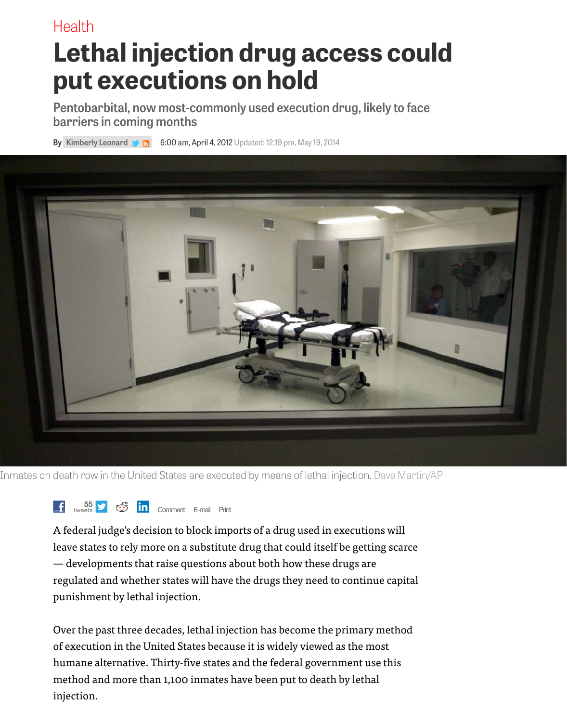

Inmates on death row in the United States are executed by means of lethal injectio



A federal judge's decision to block imports of a drug used in executions of leave states to rely more on a substitute drug that could itself be go  $-$  developments that raise questions about both how these drugs regulated and whether states will have the drugs they need to cont punishment by lethal injection.

Over the past three decades, lethal injection has become the prima of execution in the United States because it is widely viewed as the humane alternative. Thirty-five states and the federal government method and more than 1,100 inmates have been put to death by le injection.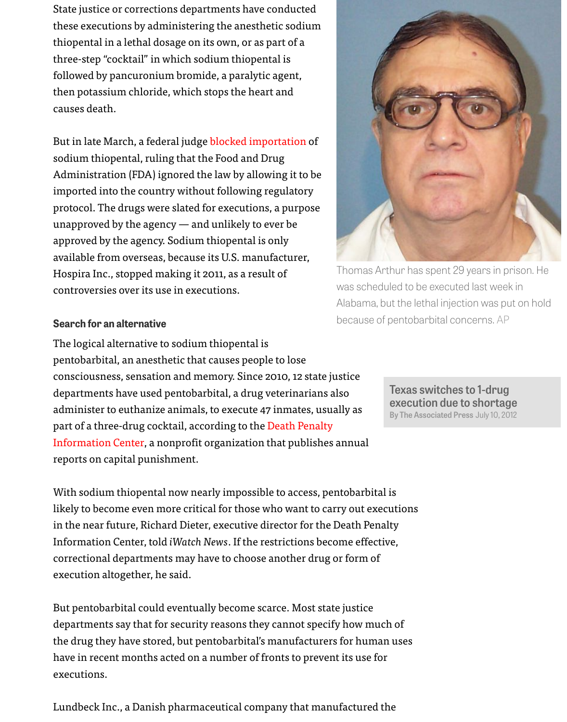available from overseas, because its U.S. manufacturer, Hospira Inc., stopped making it 2011, as a result of controversies over its use in executions.

## **Search for an alternative**

The logical alternative to sodium thiopental is pentobarbital, an anesthetic that causes people to lose consciousness, sensation and memory. Since 2010, 12 state justice departments have used pentobar[bital, a drug veterinar](https://ecf.dcd.uscourts.gov/cgi-bin/show_public_doc?2011cv0289-23)ians also administer to euthanize animals, to execute 47 inmates, usually as part of a three-drug cocktail, according to the Death Penalty Information Center, a nonprofit organization that publishes annual reports on capital punishment.

With sodium thiopental now nearly impossible to access, pentoba likely to become even more critical for those who want to carry ou in the near future, Richard Dieter, executive director for the Death Information Center, told *iWatch News*. If the restrictions become e correctional departments may have to choose another drug or for execution altogether, he said.

But pentobarbital could eventually become scarce. Most state just: departments say that for security reasons they cannot specify how the drug they have stored, but pentobarbital's manufacturers for h have in recent months acted on a number of fronts to prevent its u executions.

[Lundbeck Inc., a Danish pharmaceutical company that manu](http://www.deathpenaltyinfo.org/)factu

Thom was s Alaba becau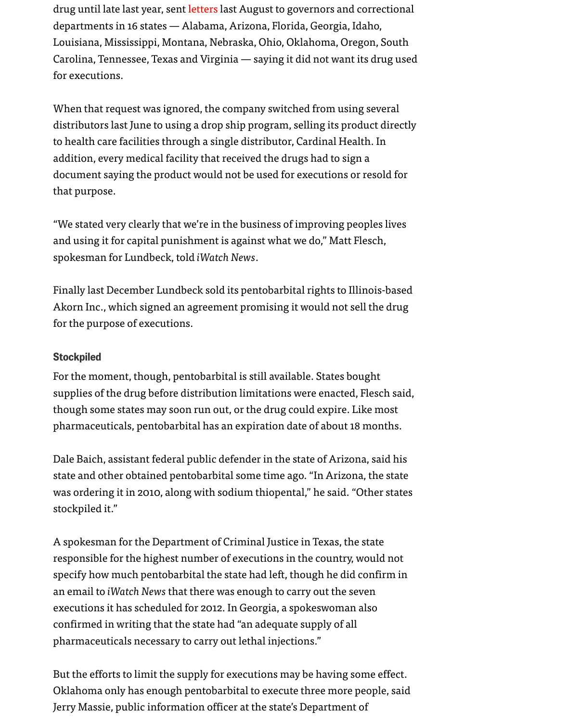spokesman for Lundbeck, told *[iWat](http://www.deathpenaltyinfo.org/documents/LundbeckLethInj.pdf)ch News*.

Finally last December Lundbeck sold its pentobarbital rights to Illi Akorn Inc., which signed an agreement promising it would not sell for the purpose of executions.

## **Stockpiled**

For the moment, though, pentobarbital is still available. States boundlers supplies of the drug before distribution limitations were enacted, though some states may soon run out, or the drug could expire. Li pharmaceuticals, pentobarbital has an expiration date of about 18

Dale Baich, assistant federal public defender in the state of Arizon state and other obtained pentobarbital some time ago. "In Arizona was ordering it in 2010, along with sodium thiopental," he said. "C stockpiled it."

A spokesman for the Department of Criminal Justice in Texas, the responsible for the highest number of executions in the country, w specify how much pentobarbital the state had left, though he did o an email to *iWatch News* that there was enough to carry out the seven executions it has scheduled for 2012. In Georgia, a spokeswoman a confirmed in writing that the state had "an adequate supply of all pharmaceuticals necessary to carry out lethal injections."

But the efforts to limit the supply for executions may be having so Oklahoma only has enough pentobarbital to execute three more p Jerry Massie, public information officer at the state's Department of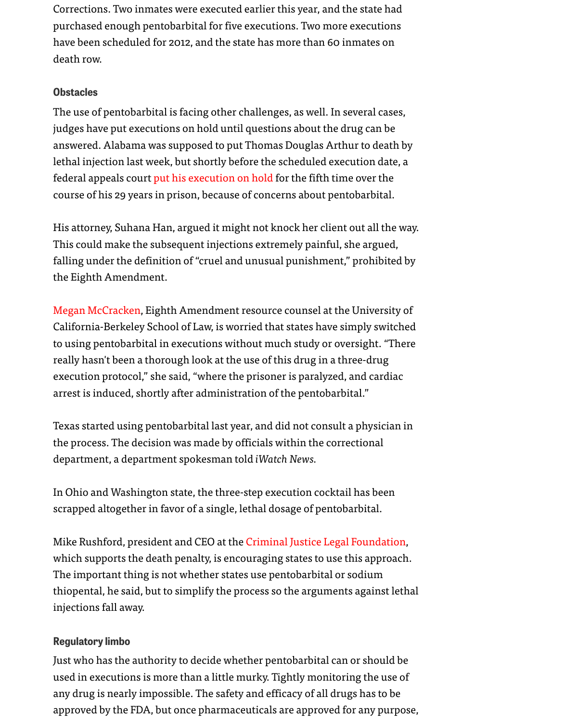falling under the definition of "cruel and unusual punishment," prohibited by the Eighth Amendment.

Megan McCracken, Eighth Amendment resource counsel at the University of California-Berkeley School of Law, is worried that states have simp to using pentobarbital in executions without much study or oversi really hasn't been a thorough look at the use of this drug in a three execution protocol," she said, "where the prisoner is paralyzed, an arrest is induced, shortly after administration of the pentobarbital

Texas started using p[entobarbital last year, and](http://www.ca11.uscourts.gov/opinions/ops/201115548.pdf) did not consult a p the process. The decision was made by officials within the correctional department, a department spokesman told *iWatch News.*

In Ohio and Washington state, the three-step execution cocktail has scrapped altogether in favor of a single, lethal dosage of pentobarb

Mike Rushford, president and CEO at the Criminal Justice Legal Fo [which supports the](http://www.law.berkeley.edu/2868.htm) death penalty, is encouraging states to use this The important thing is not whether states use pentobarbital or sod thiopental, he said, but to simplify the process so the arguments a injections fall away.

## **Regulatory limbo**

Just who has the authority to decide whether pentobarbital can or used in executions is more than a little murky. Tightly monitoring any drug is nearly impossible. The safety and efficacy of all drugs l approved by the FDA, but once pharmaceuticals are approved for a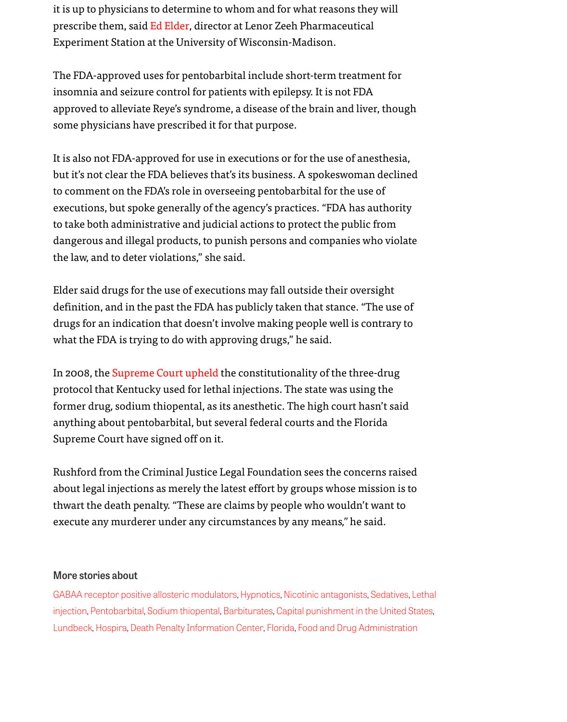the law, and to deter violations," she said.

Elder said drugs for [the use of](http://apps.pharmacy.wisc.edu/sopdir/PersonDetails.cfm?ID=213) executions may fall outside their ov definition, and in the past the FDA has publicly taken that stance. drugs for an indication that doesn't involve making people well is what the FDA is trying to do with approving drugs," he said.

In 2008, the Supreme Court upheld the constitutionality of the thi protocol that Kentucky used for lethal injections. The state was using the the former drug, sodium thiopental, as its anesthetic. The high court l anything about pentobarbital, but several federal courts and the F Supreme Court have signed off on it.

Rushford from the Criminal Justice Legal Foundation sees the con about legal injections as merely the latest effort by groups whose r thwart the death penalty. "These are claims by people who wouldn execute any murderer under any circumstances by any means," he

#### **More stories about**

GABAA receptor positive allosteric modulators, Hypnotics, Nicotinic antagonist injection, Pentobarbital, Sodium thiopental, Barbiturates, Capital punishment in Lundbeck, Hos[pira, Death Penalty Informa](http://www.law.cornell.edu/supct/html/07-5439.ZS.html)tion Center, Florida, Food and Drug A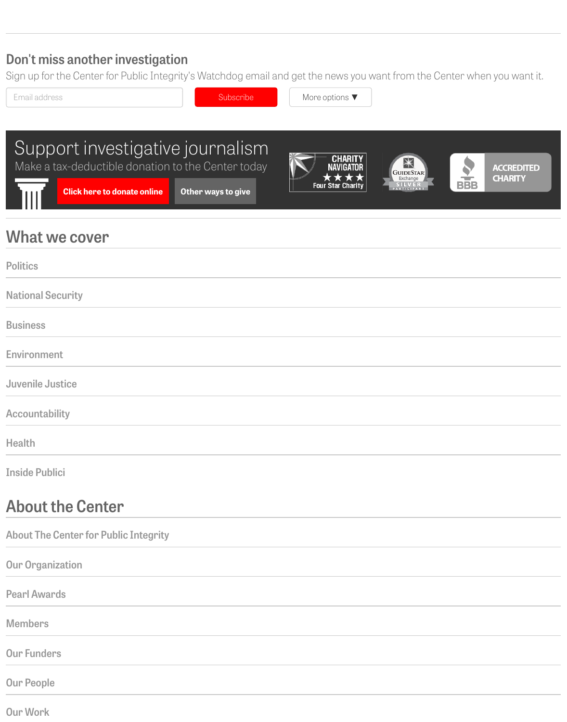| <b>Politics</b>          |  |
|--------------------------|--|
| <b>National Security</b> |  |
| <b>Business</b>          |  |
| <b>Environment</b>       |  |
| <b>Juvenile Justice</b>  |  |
| <b>Accountability</b>    |  |
| <b>Health</b>            |  |
| <b>Inside Publici</b>    |  |
| Ahout the Center         |  |

# **[Abou](https://www.publicintegrity.org/politics)t the Center**

| <b>About The Center for Public Integrity</b> |  |
|----------------------------------------------|--|
| <b>Our Organization</b>                      |  |
| <b>Pearl Awards</b>                          |  |
| <b>Members</b>                               |  |
| <b>Our Funders</b>                           |  |
| <b>Our People</b>                            |  |
| <b>Our Work</b>                              |  |